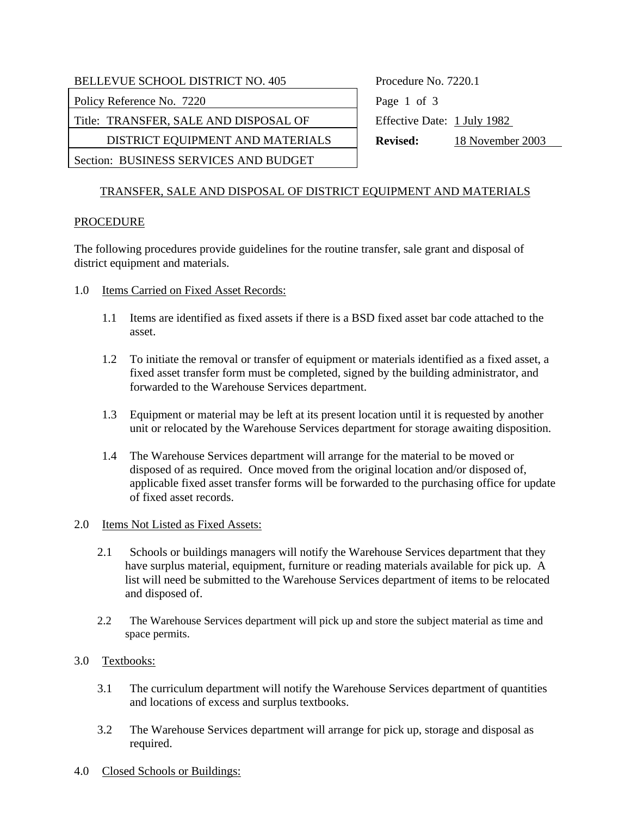| <b>BELLEVUE SCHOOL DISTRICT NO. 405</b> | Procedure No. 7220.1                |
|-----------------------------------------|-------------------------------------|
| Policy Reference No. 7220               | Page 1 of 3                         |
| Title: TRANSFER, SALE AND DISPOSAL OF   | Effective Date: 1 July 1982         |
| DISTRICT EQUIPMENT AND MATERIALS        | 18 November 2003<br><b>Revised:</b> |
| Section: BUSINESS SERVICES AND BUDGET   |                                     |

# TRANSFER, SALE AND DISPOSAL OF DISTRICT EQUIPMENT AND MATERIALS

#### PROCEDURE

The following procedures provide guidelines for the routine transfer, sale grant and disposal of district equipment and materials.

- 1.0 Items Carried on Fixed Asset Records:
	- 1.1 Items are identified as fixed assets if there is a BSD fixed asset bar code attached to the asset.
	- 1.2 To initiate the removal or transfer of equipment or materials identified as a fixed asset, a fixed asset transfer form must be completed, signed by the building administrator, and forwarded to the Warehouse Services department.
	- 1.3 Equipment or material may be left at its present location until it is requested by another unit or relocated by the Warehouse Services department for storage awaiting disposition.
	- 1.4 The Warehouse Services department will arrange for the material to be moved or disposed of as required. Once moved from the original location and/or disposed of, applicable fixed asset transfer forms will be forwarded to the purchasing office for update of fixed asset records.

#### 2.0 Items Not Listed as Fixed Assets:

- 2.1 Schools or buildings managers will notify the Warehouse Services department that they have surplus material, equipment, furniture or reading materials available for pick up. A list will need be submitted to the Warehouse Services department of items to be relocated and disposed of.
- 2.2 The Warehouse Services department will pick up and store the subject material as time and space permits.
- 3.0 Textbooks:
	- 3.1 The curriculum department will notify the Warehouse Services department of quantities and locations of excess and surplus textbooks.
	- 3.2 The Warehouse Services department will arrange for pick up, storage and disposal as required.
- 4.0 Closed Schools or Buildings: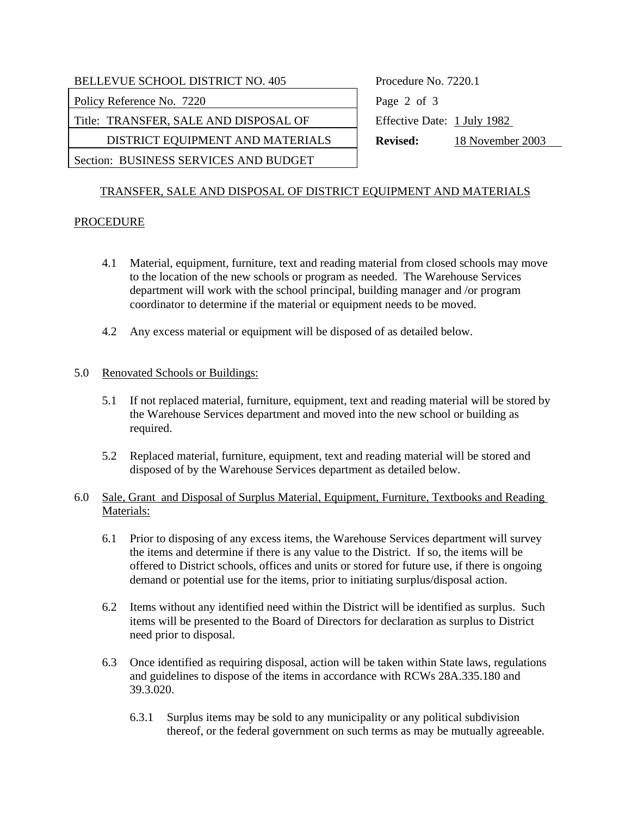| <b>BELLEVUE SCHOOL DISTRICT NO. 405</b> | Procedure No. 7220.1                |
|-----------------------------------------|-------------------------------------|
| Policy Reference No. 7220               | Page 2 of 3                         |
| Title: TRANSFER, SALE AND DISPOSAL OF   | Effective Date: 1 July 1982         |
| DISTRICT EQUIPMENT AND MATERIALS        | 18 November 2003<br><b>Revised:</b> |
| Section: BUSINESS SERVICES AND BUDGET   |                                     |

## TRANSFER, SALE AND DISPOSAL OF DISTRICT EQUIPMENT AND MATERIALS

## PROCEDURE

- 4.1 Material, equipment, furniture, text and reading material from closed schools may move to the location of the new schools or program as needed. The Warehouse Services department will work with the school principal, building manager and /or program coordinator to determine if the material or equipment needs to be moved.
- 4.2 Any excess material or equipment will be disposed of as detailed below.

## 5.0 Renovated Schools or Buildings:

- 5.1 If not replaced material, furniture, equipment, text and reading material will be stored by the Warehouse Services department and moved into the new school or building as required.
- 5.2 Replaced material, furniture, equipment, text and reading material will be stored and disposed of by the Warehouse Services department as detailed below.

## 6.0 Sale, Grant and Disposal of Surplus Material, Equipment, Furniture, Textbooks and Reading Materials:

- 6.1 Prior to disposing of any excess items, the Warehouse Services department will survey the items and determine if there is any value to the District. If so, the items will be offered to District schools, offices and units or stored for future use, if there is ongoing demand or potential use for the items, prior to initiating surplus/disposal action.
- 6.2 Items without any identified need within the District will be identified as surplus. Such items will be presented to the Board of Directors for declaration as surplus to District need prior to disposal.
- 6.3 Once identified as requiring disposal, action will be taken within State laws, regulations and guidelines to dispose of the items in accordance with RCWs 28A.335.180 and 39.3.020.
	- 6.3.1 Surplus items may be sold to any municipality or any political subdivision thereof, or the federal government on such terms as may be mutually agreeable.